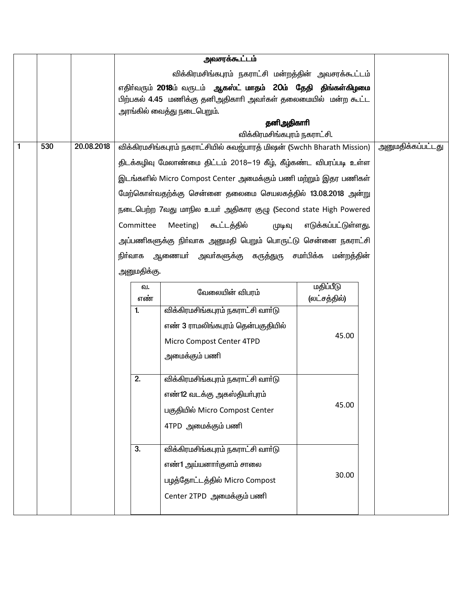|   |     |                               |                                                                      | அவசரக்கூட்டம்                                                            |                           |                          |  |  |
|---|-----|-------------------------------|----------------------------------------------------------------------|--------------------------------------------------------------------------|---------------------------|--------------------------|--|--|
|   |     |                               |                                                                      | விக்கிரமசிங்கபுரம் நகராட்சி மன்றத்தின் அவசரக்கூட்டம்                     |                           |                          |  |  |
|   |     |                               | எதிர்வரும் 2018ம் வருடம் ஆ <b>கஸ்ட் மாதம் 20ம் தேதி திங்கள்கிழமை</b> |                                                                          |                           |                          |  |  |
|   |     |                               |                                                                      | பிற்பகல் 4.45 மணிக்கு தனிஅதிகாரி அவர்கள் தலைமையில் மன்ற கூட்ட            |                           |                          |  |  |
|   |     |                               |                                                                      | அரங்கில் வைத்து நடைபெறும்.                                               |                           |                          |  |  |
|   |     |                               |                                                                      | தனிஅதிகாரி<br>விக்கிரமசிங்கபுரம் நகராட்சி.                               |                           |                          |  |  |
| 1 | 530 | 20.08.2018                    |                                                                      | விக்கிரமசிங்கபுரம் நகராட்சியில் சுவஜ்பாரத் மிஷன் (Swchh Bharath Mission) |                           | <u>அனுமதிக்கப்பட்டது</u> |  |  |
|   |     |                               |                                                                      | திடக்கழிவு மேலாண்மை திட்டம் 2018—19 கீழ், கீழ்கண்ட விபரப்படி உள்ள        |                           |                          |  |  |
|   |     |                               |                                                                      | இடங்களில் Micro Compost Center அமைக்கும் பணி மற்றும் இதர பணிகள்          |                           |                          |  |  |
|   |     |                               |                                                                      | மேற்கொள்வதற்க்கு சென்னை தலைமை செயலகத்தில் 13.08.2018 அன்று               |                           |                          |  |  |
|   |     |                               |                                                                      | நடைபெற்ற 7வது மாநில உயா் அதிகார குழு (Second state High Powered          |                           |                          |  |  |
|   |     |                               | Committee                                                            | Meeting)<br>௬ட்டத்தில்<br>(ழடிவு                                         | எடுக்கப்பட்டுள்ளது.       |                          |  |  |
|   |     |                               |                                                                      | அப்பணிகளுக்கு நிா்வாக அனுமதி பெறும் பொருட்டு சென்னை நகராட்சி             |                           |                          |  |  |
|   |     |                               |                                                                      | நிா்வாக ஆணையா் அவா்களுக்கு கருத்துரு                                     | சமா்பிக்க மன்றத்தின்      |                          |  |  |
|   |     |                               | அனுமதிக்கு.                                                          |                                                                          |                           |                          |  |  |
|   |     |                               | வ.<br>எண்                                                            | வேலையின் விபரம்                                                          | மதிப்பீடு<br>(லட்சத்தில்) |                          |  |  |
|   |     |                               | 1.                                                                   | விக்கிரமசிங்கபுரம் நகராட்சி வார்டு                                       |                           |                          |  |  |
|   |     |                               |                                                                      | எண் 3 ராமலிங்கபுரம் தென்பகுதியில்                                        |                           |                          |  |  |
|   |     |                               |                                                                      | Micro Compost Center 4TPD                                                | 45.00                     |                          |  |  |
|   |     |                               |                                                                      | அமைக்கும் பணி                                                            |                           |                          |  |  |
|   |     |                               | 2.                                                                   | விக்கிரமசிங்கபுரம் நகராட்சி வார்டு                                       |                           |                          |  |  |
|   |     |                               |                                                                      | எண்12 வடக்கு அகஸ்தியா்புரம்                                              |                           |                          |  |  |
|   |     |                               |                                                                      | பகுதியில் Micro Compost Center                                           | 45.00                     |                          |  |  |
|   |     |                               |                                                                      | 4TPD அமைக்கும் பணி                                                       |                           |                          |  |  |
|   |     |                               |                                                                      |                                                                          |                           |                          |  |  |
|   |     |                               | 3.                                                                   | விக்கிரமசிங்கபுரம் நகராட்சி வார்டு                                       |                           |                          |  |  |
|   |     |                               |                                                                      | எண்1 அய்யனாா்குளம் சாலை                                                  |                           |                          |  |  |
|   |     | பழத்தோட்டத்தில் Micro Compost |                                                                      | 30.00                                                                    |                           |                          |  |  |
|   |     |                               |                                                                      | Center 2TPD அமைக்கும் பணி                                                |                           |                          |  |  |
|   |     |                               |                                                                      |                                                                          |                           |                          |  |  |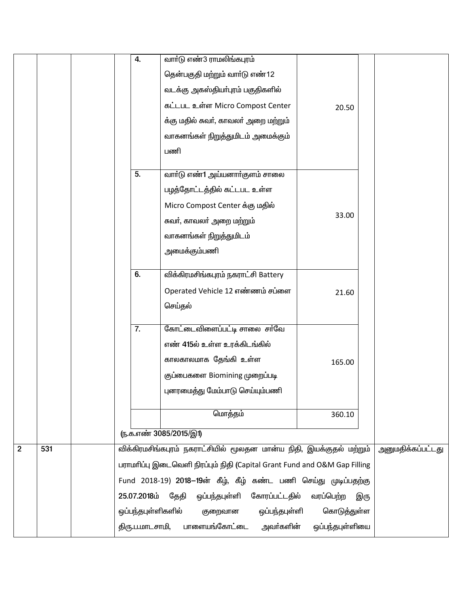|                |     | 4.                                                                         | வாா்டு எண்3 ராமலிங்கபுரம்                                           |                 |                   |  |
|----------------|-----|----------------------------------------------------------------------------|---------------------------------------------------------------------|-----------------|-------------------|--|
|                |     |                                                                            | தென்பகுதி மற்றும் வாா்டு எண்12                                      |                 |                   |  |
|                |     |                                                                            | வடக்கு அகஸ்தியா்புரம் பகுதிகளில்                                    |                 |                   |  |
|                |     |                                                                            | கட்டபட உள்ள Micro Compost Center                                    | 20.50           |                   |  |
|                |     |                                                                            | க்கு மதில் சுவா், காவலா் அறை மற்றும்                                |                 |                   |  |
|                |     |                                                                            | வாகனங்கள் நிறுத்துமிடம் அமைக்கும்                                   |                 |                   |  |
|                |     |                                                                            | பணி                                                                 |                 |                   |  |
|                |     |                                                                            |                                                                     |                 |                   |  |
|                |     | 5.                                                                         | வாா்டு எண்1 அய்யனாா்குளம் சாலை                                      |                 |                   |  |
|                |     |                                                                            | பழத்தோட்டத்தில் கட்டபட உள்ள                                         |                 |                   |  |
|                |     |                                                                            | Micro Compost Center க்கு மதில்                                     |                 |                   |  |
|                |     |                                                                            | சுவர், காவலர் அறை மற்றும்                                           | 33.00           |                   |  |
|                |     |                                                                            | வாகனங்கள் நிறுத்துமிடம்                                             |                 |                   |  |
|                |     |                                                                            | அமைக்கும்பணி                                                        |                 |                   |  |
|                |     | 6.                                                                         |                                                                     |                 |                   |  |
|                |     |                                                                            | விக்கிரமசிங்கபுரம் நகராட்சி Battery                                 |                 |                   |  |
|                |     |                                                                            | Operated Vehicle 12 எண்ணம் சப்ளை                                    | 21.60           |                   |  |
|                |     |                                                                            | செய்தல்                                                             |                 |                   |  |
|                |     | 7.                                                                         | கோட்டைவிளைப்பட்டி சாலை சர்வே                                        |                 |                   |  |
|                |     |                                                                            | எண் 415ல் உள்ள உரக்கிடங்கில்                                        |                 |                   |  |
|                |     |                                                                            | காலகாலமாக தேங்கி உள்ள                                               | 165.00          |                   |  |
|                |     |                                                                            | குப்பைகளை Biomining முறைப்படி                                       |                 |                   |  |
|                |     |                                                                            | புனரமைத்து மேம்பாடு செய்யும்பணி                                     |                 |                   |  |
|                |     |                                                                            |                                                                     |                 |                   |  |
|                |     |                                                                            | மொத்தம்                                                             | 360.10          |                   |  |
|                |     |                                                                            | <u>ரு.க.எண் 3085/2015/இ1)</u>                                       |                 |                   |  |
| $\overline{2}$ | 531 |                                                                            | விக்கிரமசிங்கபுரம் நகராட்சியில் மூலதன மான்ய நிதி, இயக்குதல் மற்றும் |                 | அனுமதிக்கப்பட்டது |  |
|                |     | பராமரிப்பு இடைவெளி நிரப்பும் நிதி (Capital Grant Fund and O&M Gap Filling  |                                                                     |                 |                   |  |
|                |     | Fund 2018-19) 2018–19ன் கீழ், கீழ் கண்ட பணி செய்து முடிப்பதற்கு            |                                                                     |                 |                   |  |
|                |     | 25.07.2018ம்<br>தேதி<br>ஒப்பந்தபுள்ளி<br>கோரப்பட்டதில்<br>வரப்பெற்ற<br>இரு |                                                                     |                 |                   |  |
|                |     | ஒப்பந்தபுள்ளிகளில்                                                         |                                                                     |                 |                   |  |
|                |     | திரு.ப.மாடசாமி,                                                            | பாளையங்கோட்டை<br>அவா்களின்                                          | ஒப்பந்தபுள்ளியை |                   |  |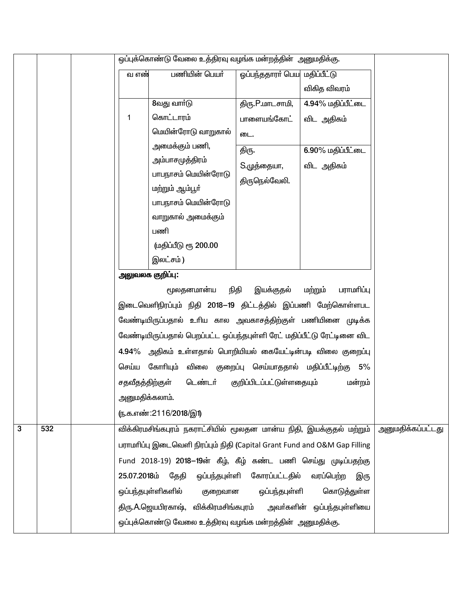|   |     | ஒப்புக்கொண்டு வேலை உத்திரவு வழங்க மன்றத்தின் அனுமதிக்கு. |                 |                                                                           |                              |                                              |                   |
|---|-----|----------------------------------------------------------|-----------------|---------------------------------------------------------------------------|------------------------------|----------------------------------------------|-------------------|
|   |     |                                                          | வ எண்           | பணியின் பெயர்                                                             | ஓப்பந்ததாரா் பெய மதிப்பீட்டு |                                              |                   |
|   |     |                                                          |                 |                                                                           |                              | விகித விவரம்                                 |                   |
|   |     |                                                          |                 | 8வது வார்டு                                                               | திரு.P.மாடசாமி,              | 4.94% மதிப்பீட்டை                            |                   |
|   |     |                                                          | 1               | கொட்டாரம்                                                                 | பாளையங்கோட்                  | விட அதிகம்                                   |                   |
|   |     |                                                          |                 | மெயின்ரோடு வாறுகால்                                                       | டை.                          |                                              |                   |
|   |     |                                                          |                 | அமைக்கும் பணி,                                                            | திரு.                        | 6.90% மதிப்பீட்டை                            |                   |
|   |     |                                                          |                 | அம்பாசமுத்திரம்                                                           | S.முத்தையா,                  | விட அதிகம்                                   |                   |
|   |     |                                                          |                 | பாபநாசம் மெயின்ரோடு                                                       | திருநெல்வேலி.                |                                              |                   |
|   |     |                                                          |                 | மற்றும் ஆம்பூர்                                                           |                              |                                              |                   |
|   |     |                                                          |                 | பாபநாசம் மெயின்ரோடு                                                       |                              |                                              |                   |
|   |     |                                                          |                 | வாறுகால் அமைக்கும்                                                        |                              |                                              |                   |
|   |     |                                                          |                 | பணி                                                                       |                              |                                              |                   |
|   |     |                                                          |                 | (மதிப்பீடு ரூ 200.00                                                      |                              |                                              |                   |
|   |     |                                                          |                 | இலட்சம்)                                                                  |                              |                                              |                   |
|   |     |                                                          |                 | அலுவலக குறிப்பு:                                                          |                              |                                              |                   |
|   |     |                                                          |                 | மூலதனமான்ய                                                                | நிதி<br>இயக்குதல்            | மற்றும்<br>பராமரிப்பு                        |                   |
|   |     |                                                          |                 | இடைவெளிநிரப்பும் நிதி 2018—19 திட்டத்தில் இப்பணி மேற்கொள்ளபட              |                              |                                              |                   |
|   |     |                                                          |                 | வேண்டியிருப்பதால் உரிய கால அவகாசத்திற்குள் பணியினை முடிக்க                |                              |                                              |                   |
|   |     |                                                          |                 | வேண்டியிருப்பதால் பெறப்பட்ட ஒப்பந்தபுள்ளி ரேட் மதிப்பீட்டு ரேட்டினை விட   |                              |                                              |                   |
|   |     |                                                          |                 | 4.94% அதிகம் உள்ளதால் பொறியியல் கையேட்டின்படி விலை குறைப்பு               |                              |                                              |                   |
|   |     |                                                          |                 | செய்ய கோரியும்                                                            |                              | விலை குறைப்பு செய்யாததால் மதிப்பீட்டிற்கு 5% |                   |
|   |     |                                                          | சதவீதத்திற்குள் | டெண்டர்                                                                   | குறிப்பிடப்பட்டுள்ளதையும்    | மன்றம்                                       |                   |
|   |     |                                                          | அனுமதிக்கலாம்.  |                                                                           |                              |                                              |                   |
|   |     |                                                          |                 | (ந.க.எண்:2116/2018/இ1)                                                    |                              |                                              |                   |
| 3 | 532 |                                                          |                 | விக்கிரமசிங்கபுரம் நகராட்சியில் மூலதன மான்ய நிதி, இயக்குதல் மற்றும்       |                              |                                              | அனுமதிக்கப்பட்டது |
|   |     |                                                          |                 | பராமரிப்பு இடைவெளி நிரப்பும் நிதி (Capital Grant Fund and O&M Gap Filling |                              |                                              |                   |
|   |     |                                                          |                 | Fund 2018-19) 2018–19ன் கீழ், கீழ் கண்ட பணி செய்து முடிப்பதற்கு           |                              |                                              |                   |
|   |     |                                                          | 25.07.2018ம்    | தேதி                                                                      | ஒப்பந்தபுள்ளி கோரப்பட்டதில்  | வரப்பெற்ற<br>இரு                             |                   |
|   |     |                                                          |                 | ஒப்பந்தபுள்ளிகளில்<br>குறைவான                                             | ஒப்பந்தபுள்ளி                | கொடுத்துள்ள                                  |                   |
|   |     |                                                          |                 | திரு.A.ஜெயபிரகாஷ், விக்கிரமசிங்கபுரம் அவர்களின் ஒப்பந்தபுள்ளியை           |                              |                                              |                   |
|   |     |                                                          |                 | ஒப்புக்கொண்டு வேலை உத்திரவு வழங்க மன்றத்தின்  அனுமதிக்கு.                 |                              |                                              |                   |
|   |     |                                                          |                 |                                                                           |                              |                                              |                   |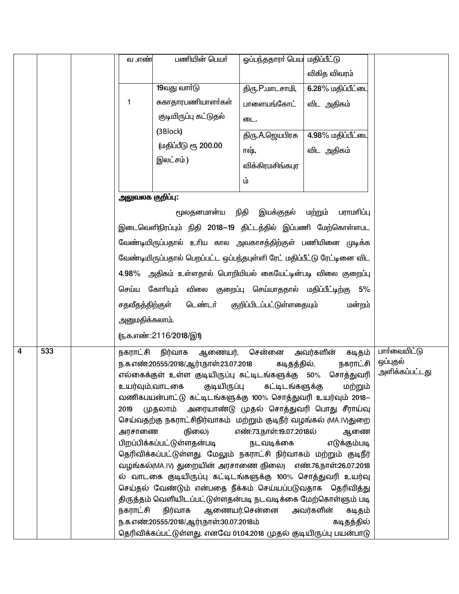|   |     | வ .எண்                                 | பணியின் பெயர்                                                                                                                                                                                                                                                                                                                                                                                                                                                                                                                                                                                                                                                                                                                                                                                                                                                                     | ஓப்பந்ததாரா் பெய மதிப்பீட்டு                                                    |                                                                                             |                                            |
|---|-----|----------------------------------------|-----------------------------------------------------------------------------------------------------------------------------------------------------------------------------------------------------------------------------------------------------------------------------------------------------------------------------------------------------------------------------------------------------------------------------------------------------------------------------------------------------------------------------------------------------------------------------------------------------------------------------------------------------------------------------------------------------------------------------------------------------------------------------------------------------------------------------------------------------------------------------------|---------------------------------------------------------------------------------|---------------------------------------------------------------------------------------------|--------------------------------------------|
|   |     |                                        |                                                                                                                                                                                                                                                                                                                                                                                                                                                                                                                                                                                                                                                                                                                                                                                                                                                                                   |                                                                                 | விகித விவரம்                                                                                |                                            |
|   |     |                                        | 19வது வார்டு                                                                                                                                                                                                                                                                                                                                                                                                                                                                                                                                                                                                                                                                                                                                                                                                                                                                      | திரு.P.மாடசாமி,                                                                 | 6.28% மதிப்பீட்டை                                                                           |                                            |
|   |     |                                        | சுகாதாரபணியாளர்கள்                                                                                                                                                                                                                                                                                                                                                                                                                                                                                                                                                                                                                                                                                                                                                                                                                                                                | பாளையங்கோட்                                                                     | விட அதிகம்                                                                                  |                                            |
|   |     |                                        | குடியிருப்பு கட்டுதல்                                                                                                                                                                                                                                                                                                                                                                                                                                                                                                                                                                                                                                                                                                                                                                                                                                                             | டை.                                                                             |                                                                                             |                                            |
|   |     |                                        | (3Block)                                                                                                                                                                                                                                                                                                                                                                                                                                                                                                                                                                                                                                                                                                                                                                                                                                                                          | திரு.A.ஜெயபிரக                                                                  | 4.98% மதிப்பீட்டை                                                                           |                                            |
|   |     |                                        | முதிப்பீடு ரூ 200.00                                                                                                                                                                                                                                                                                                                                                                                                                                                                                                                                                                                                                                                                                                                                                                                                                                                              | ாஷ்,                                                                            | விட அதிகம்                                                                                  |                                            |
|   |     |                                        | இலட்சம்)                                                                                                                                                                                                                                                                                                                                                                                                                                                                                                                                                                                                                                                                                                                                                                                                                                                                          | விக்கிரமசிங்கபுர                                                                |                                                                                             |                                            |
|   |     |                                        |                                                                                                                                                                                                                                                                                                                                                                                                                                                                                                                                                                                                                                                                                                                                                                                                                                                                                   | ம்                                                                              |                                                                                             |                                            |
|   |     |                                        | அலுவலக குறிப்பு:                                                                                                                                                                                                                                                                                                                                                                                                                                                                                                                                                                                                                                                                                                                                                                                                                                                                  |                                                                                 |                                                                                             |                                            |
|   |     |                                        | மூலதனமான்ய                                                                                                                                                                                                                                                                                                                                                                                                                                                                                                                                                                                                                                                                                                                                                                                                                                                                        | இயக்குதல்<br>நிதி                                                               | மற்றும்<br>பராமரிப்பு                                                                       |                                            |
|   |     |                                        | இடைவெளிநிரப்பும் நிதி 2018–19 திட்டத்தில் இப்பணி மேற்கொள்ளபட                                                                                                                                                                                                                                                                                                                                                                                                                                                                                                                                                                                                                                                                                                                                                                                                                      |                                                                                 |                                                                                             |                                            |
|   |     |                                        | வேண்டியிருப்பதால் உரிய கால அவகாசத்திற்குள் பணியினை முடிக்க                                                                                                                                                                                                                                                                                                                                                                                                                                                                                                                                                                                                                                                                                                                                                                                                                        |                                                                                 |                                                                                             |                                            |
|   |     |                                        |                                                                                                                                                                                                                                                                                                                                                                                                                                                                                                                                                                                                                                                                                                                                                                                                                                                                                   |                                                                                 |                                                                                             |                                            |
|   |     |                                        | வேண்டியிருப்பதால் பெறப்பட்ட ஒப்பந்தபுள்ளி ரேட் மதிப்பீட்டு ரேட்டினை விட                                                                                                                                                                                                                                                                                                                                                                                                                                                                                                                                                                                                                                                                                                                                                                                                           |                                                                                 |                                                                                             |                                            |
|   |     |                                        | 4.98% அதிகம் உள்ளதால் பொறியியல் கையேட்டின்படி விலை குறைப்பு                                                                                                                                                                                                                                                                                                                                                                                                                                                                                                                                                                                                                                                                                                                                                                                                                       |                                                                                 |                                                                                             |                                            |
|   |     |                                        | செய்ய கோரியும் விலை குறைப்பு செய்யாததால் மதிப்பீட்டிற்கு 5%                                                                                                                                                                                                                                                                                                                                                                                                                                                                                                                                                                                                                                                                                                                                                                                                                       |                                                                                 |                                                                                             |                                            |
|   |     |                                        | சதவீதத்திற்குள்<br>டெண்டர்                                                                                                                                                                                                                                                                                                                                                                                                                                                                                                                                                                                                                                                                                                                                                                                                                                                        | குறிப்பிடப்பட்டுள்ளதையும்                                                       | மன்றம்                                                                                      |                                            |
|   |     |                                        | அனுமதிக்கலாம்.                                                                                                                                                                                                                                                                                                                                                                                                                                                                                                                                                                                                                                                                                                                                                                                                                                                                    |                                                                                 |                                                                                             |                                            |
|   |     |                                        | <u>(ந.க.எண்:2116/2018/இ1)</u>                                                                                                                                                                                                                                                                                                                                                                                                                                                                                                                                                                                                                                                                                                                                                                                                                                                     |                                                                                 |                                                                                             |                                            |
| 4 | 533 | நகராட்சி<br>2019<br>அரசாணை<br>நகராட்சி | நிர்வாக<br>ஆணையர்,<br>ந.க.எண்:20555/2018/ஆர்1,நாள்:23.07.2018<br>எல்கைக்குள் உள்ள குடியிருப்பு கட்டிடங்களுக்கு 50% சொத்துவரி<br>உயர்வும்,வாடகை குடியிருப்பு கட்டிடங்களுக்கு மற்றும்<br>வணிகபயன்பாட்டு கட்டிடங்களுக்கு 100% சொத்துவரி உயர்வும் 2018–<br>முதலாம் அரையாண்டு முதல் சொத்துவரி பொது சீராய்வு<br>செய்வதற்கு நகராட்சிநிர்வாகம் மற்றும் குடிநீர் வழங்கல் (MA.IV)துறை<br>நிலை)<br>பிறப்பிக்கப்பட்டுள்ளதன்படி<br>தெரிவிக்கப்பட்டுள்ளது. மேலும் நகராட்சி நிர்வாகம் மற்றும் குடிநீர்<br>வழங்கல்(MA.IV) துறையின் அரசாணை (நிலை) எண்.76,நாள்:26.07.2018<br>ல் வாடகை குடியிருப்பு கட்டிடங்களுக்கு 100% சொத்துவரி உயர்வு<br>செய்தல் வேண்டும் என்பதை நீக்கம் செய்யப்படுவதாக தெரிவித்து<br>திருத்தம் வெளியிடப்பட்டுள்ளதன்படி நடவடிக்கை மேற்கொள்ளும் படி<br>நிர்வாக<br>ந.க.எண்:20555/2018/ஆர்1,நாள்:30.07.2018ம்<br>தெரிவிக்கப்பட்டுள்ளது. எனவே 01.04.2018 முதல் குடியிருப்பு பயன்பாடு | சென்னை<br>கடிதத்தில்,<br>எண்.73,நாள்.19.07.2018ல்<br>நடவடிக்கை<br>ஆணையர்,சென்னை | அவர்களின்<br>கடிதம்<br>நகராட்சி<br>ஆணை<br>எடுக்கும்படி<br>அவர்களின்<br>கடிதம்<br>கடிதத்தில் | பார்வையிட்டு<br>ஒப்புதல்<br>அளிக்கப்பட்டது |